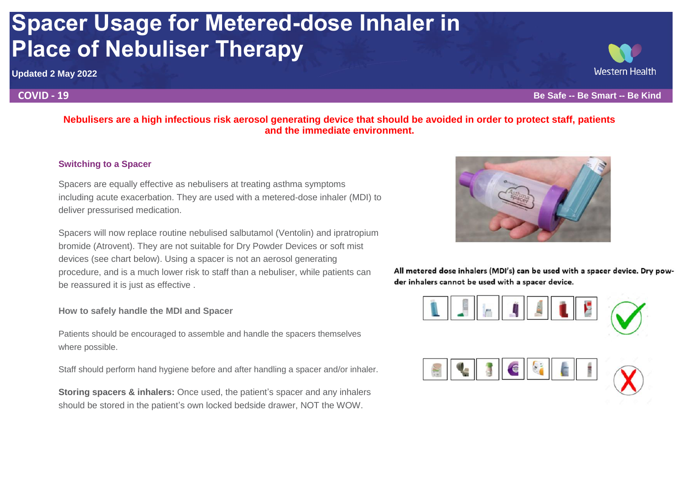# **Spacer Usage for Metered-dose Inhaler in Place of Nebuliser Therapy**

**Updated 2 May 2022**

# **Nebulisers are a high infectious risk aerosol generating device that should be avoided in order to protect staff, patients and the immediate environment.**

## **Switching to a Spacer**

Spacers are equally effective as nebulisers at treating asthma symptoms including acute exacerbation. They are used with a metered-dose inhaler (MDI) to deliver pressurised medication.

Spacers will now replace routine nebulised salbutamol (Ventolin) and ipratropium bromide (Atrovent). They are not suitable for Dry Powder Devices or soft mist devices (see chart below). Using a spacer is not an aerosol generating procedure, and is a much lower risk to staff than a nebuliser, while patients can be reassured it is just as effective .

## **How to safely handle the MDI and Spacer**

Patients should be encouraged to assemble and handle the spacers themselves where possible.

Staff should perform hand hygiene before and after handling a spacer and/or inhaler.

**Storing spacers & inhalers:** Once used, the patient's spacer and any inhalers should be stored in the patient's own locked bedside drawer, NOT the WOW.



All metered dose inhalers (MDI's) can be used with a spacer device. Dry powder inhalers cannot be used with a spacer device.





**COVID - 19 Be Safe -- Be Smart -- Be Kind**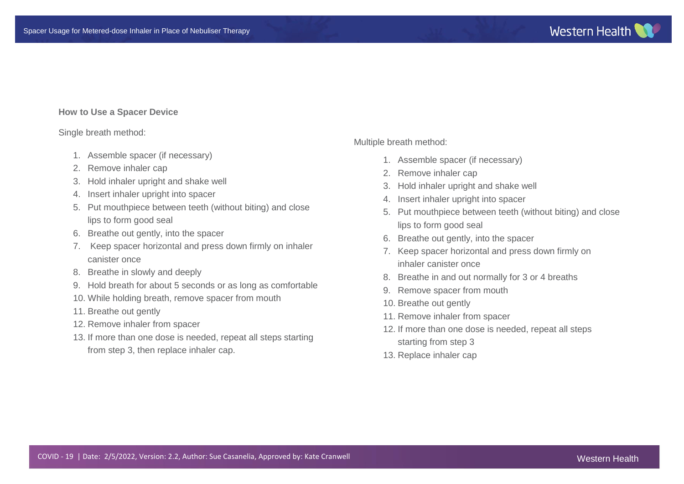### **How to Use a Spacer Device**

#### Single breath method:

- 1. Assemble spacer (if necessary)
- 2. Remove inhaler cap
- 3. Hold inhaler upright and shake well
- 4. Insert inhaler upright into spacer
- 5. Put mouthpiece between teeth (without biting) and close lips to form good seal
- 6. Breathe out gently, into the spacer
- 7. Keep spacer horizontal and press down firmly on inhaler canister once
- 8. Breathe in slowly and deeply
- 9. Hold breath for about 5 seconds or as long as comfortable
- 10. While holding breath, remove spacer from mouth
- 11. Breathe out gently
- 12. Remove inhaler from spacer
- 13. If more than one dose is needed, repeat all steps starting from step 3, then replace inhaler cap.

Multiple breath method:

- 1. Assemble spacer (if necessary)
- 2. Remove inhaler cap
- 3. Hold inhaler upright and shake well
- 4. Insert inhaler upright into spacer
- 5. Put mouthpiece between teeth (without biting) and close lips to form good seal
- 6. Breathe out gently, into the spacer
- 7. Keep spacer horizontal and press down firmly on inhaler canister once
- 8. Breathe in and out normally for 3 or 4 breaths
- 9. Remove spacer from mouth
- 10. Breathe out gently
- 11. Remove inhaler from spacer
- 12. If more than one dose is needed, repeat all steps starting from step 3
- 13. Replace inhaler cap